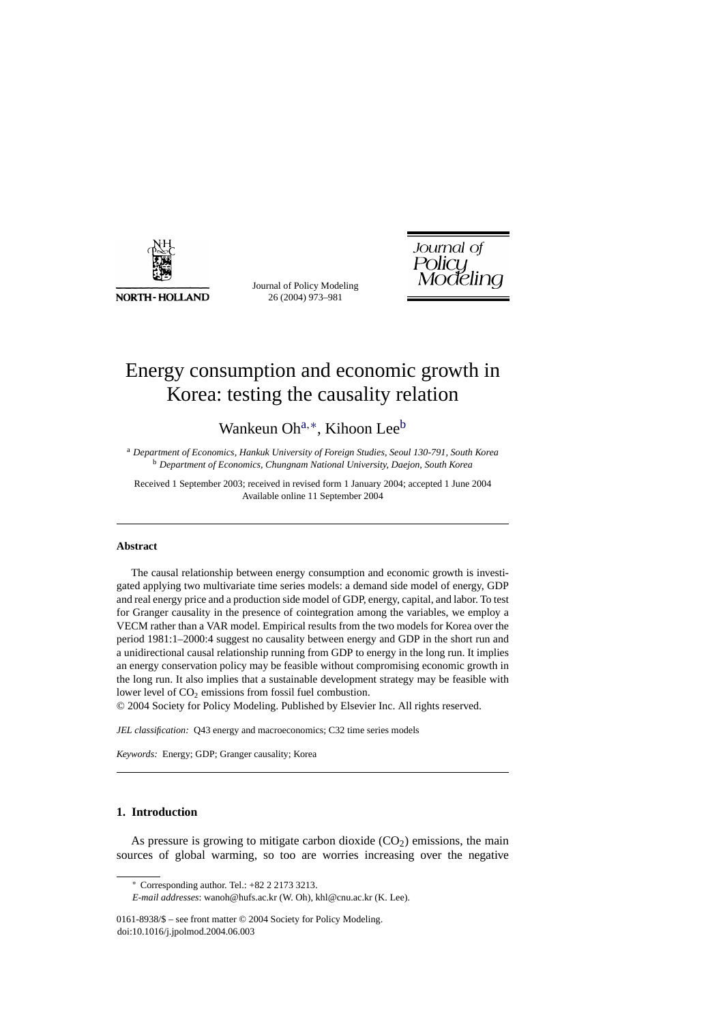

Journal of Policy Modeling 26 (2004) 973–981

Journal of Policy<br>Modeling

## Energy consumption and economic growth in Korea: testing the causality relation

Wankeun Oh<sup>a,∗</sup>, Kihoon Lee<sup>b</sup>

<sup>a</sup> *Department of Economics, Hankuk University of Foreign Studies, Seoul 130-791, South Korea* <sup>b</sup> *Department of Economics, Chungnam National University, Daejon, South Korea*

Received 1 September 2003; received in revised form 1 January 2004; accepted 1 June 2004 Available online 11 September 2004

## **Abstract**

The causal relationship between energy consumption and economic growth is investigated applying two multivariate time series models: a demand side model of energy, GDP and real energy price and a production side model of GDP, energy, capital, and labor. To test for Granger causality in the presence of cointegration among the variables, we employ a VECM rather than a VAR model. Empirical results from the two models for Korea over the period 1981:1–2000:4 suggest no causality between energy and GDP in the short run and a unidirectional causal relationship running from GDP to energy in the long run. It implies an energy conservation policy may be feasible without compromising economic growth in the long run. It also implies that a sustainable development strategy may be feasible with lower level of  $CO<sub>2</sub>$  emissions from fossil fuel combustion.

© 2004 Society for Policy Modeling. Published by Elsevier Inc. All rights reserved.

*JEL classification:* Q43 energy and macroeconomics; C32 time series models

*Keywords:* Energy; GDP; Granger causality; Korea

## **1. Introduction**

As pressure is growing to mitigate carbon dioxide  $(CO<sub>2</sub>)$  emissions, the main sources of global warming, so too are worries increasing over the negative

<sup>∗</sup> Corresponding author. Tel.: +82 2 2173 3213.

*E-mail addresses*: wanoh@hufs.ac.kr (W. Oh), khl@cnu.ac.kr (K. Lee).

<sup>0161-8938/\$ –</sup> see front matter © 2004 Society for Policy Modeling. doi:10.1016/j.jpolmod.2004.06.003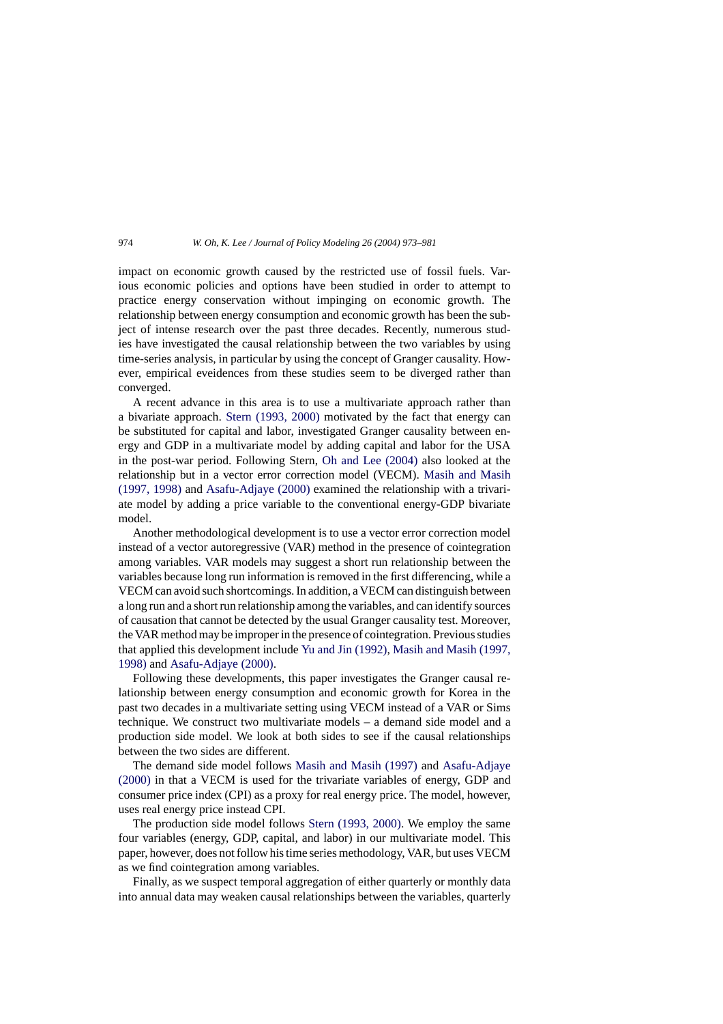impact on economic growth caused by the restricted use of fossil fuels. Various economic policies and options have been studied in order to attempt to practice energy conservation without impinging on economic growth. The relationship between energy consumption and economic growth has been the subject of intense research over the past three decades. Recently, numerous studies have investigated the causal relationship between the two variables by using time-series analysis, in particular by using the concept of Granger causality. However, empirical eveidences from these studies seem to be diverged rather than converged.

A recent advance in this area is to use a multivariate approach rather than a bivariate approach. [Stern \(1993, 2000\)](#page--1-0) motivated by the fact that energy can be substituted for capital and labor, investigated Granger causality between energy and GDP in a multivariate model by adding capital and labor for the USA in the post-war period. Following Stern, [Oh and Lee \(2004\)](#page--1-0) also looked at the relationship but in a vector error correction model (VECM). [Masih and Masih](#page--1-0) [\(1997, 1998\)](#page--1-0) and [Asafu-Adjaye \(2000\)](#page--1-0) examined the relationship with a trivariate model by adding a price variable to the conventional energy-GDP bivariate model.

Another methodological development is to use a vector error correction model instead of a vector autoregressive (VAR) method in the presence of cointegration among variables. VAR models may suggest a short run relationship between the variables because long run information is removed in the first differencing, while a VECM can avoid such shortcomings. In addition, a VECM can distinguish between a long run and a short run relationship among the variables, and can identify sources of causation that cannot be detected by the usual Granger causality test. Moreover, the VAR method may be improper in the presence of cointegration. Previous studies that applied this development include [Yu and Jin \(1992\),](#page--1-0) [Masih and Masih \(1997,](#page--1-0) [1998\)](#page--1-0) and [Asafu-Adjaye \(2000\).](#page--1-0)

Following these developments, this paper investigates the Granger causal relationship between energy consumption and economic growth for Korea in the past two decades in a multivariate setting using VECM instead of a VAR or Sims technique. We construct two multivariate models – a demand side model and a production side model. We look at both sides to see if the causal relationships between the two sides are different.

The demand side model follows [Masih and Masih \(1997\)](#page--1-0) and [Asafu-Adjaye](#page--1-0) [\(2000\)](#page--1-0) in that a VECM is used for the trivariate variables of energy, GDP and consumer price index (CPI) as a proxy for real energy price. The model, however, uses real energy price instead CPI.

The production side model follows [Stern \(1993, 2000\).](#page--1-0) We employ the same four variables (energy, GDP, capital, and labor) in our multivariate model. This paper, however, does not follow his time series methodology, VAR, but uses VECM as we find cointegration among variables.

Finally, as we suspect temporal aggregation of either quarterly or monthly data into annual data may weaken causal relationships between the variables, quarterly